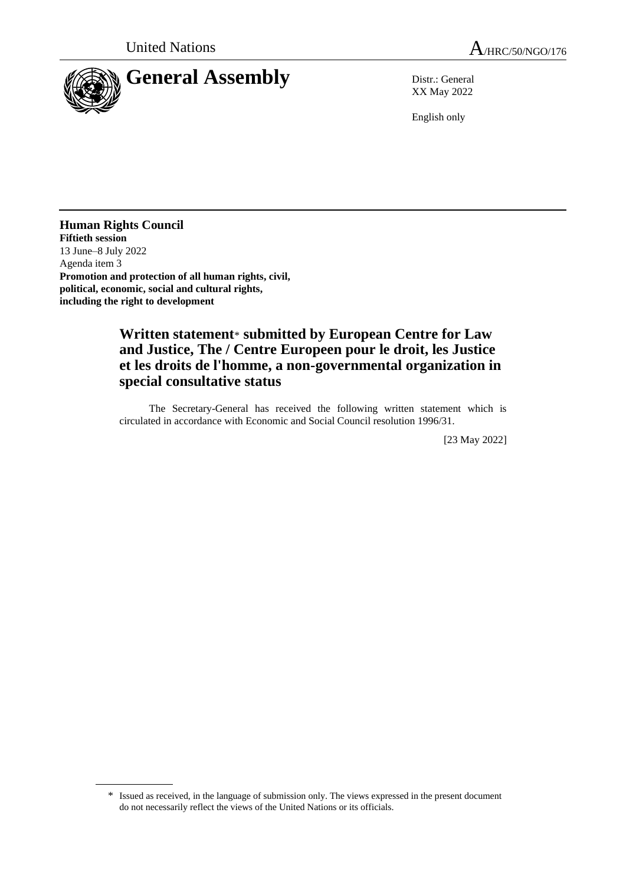



XX May 2022

English only

**Human Rights Council Fiftieth session** 13 June–8 July 2022 Agenda item 3 **Promotion and protection of all human rights, civil, political, economic, social and cultural rights, including the right to development**

# **Written statement**\* **submitted by European Centre for Law and Justice, The / Centre Europeen pour le droit, les Justice et les droits de l'homme, a non-governmental organization in special consultative status**

The Secretary-General has received the following written statement which is circulated in accordance with Economic and Social Council resolution 1996/31.

[23 May 2022]

<sup>\*</sup> Issued as received, in the language of submission only. The views expressed in the present document do not necessarily reflect the views of the United Nations or its officials.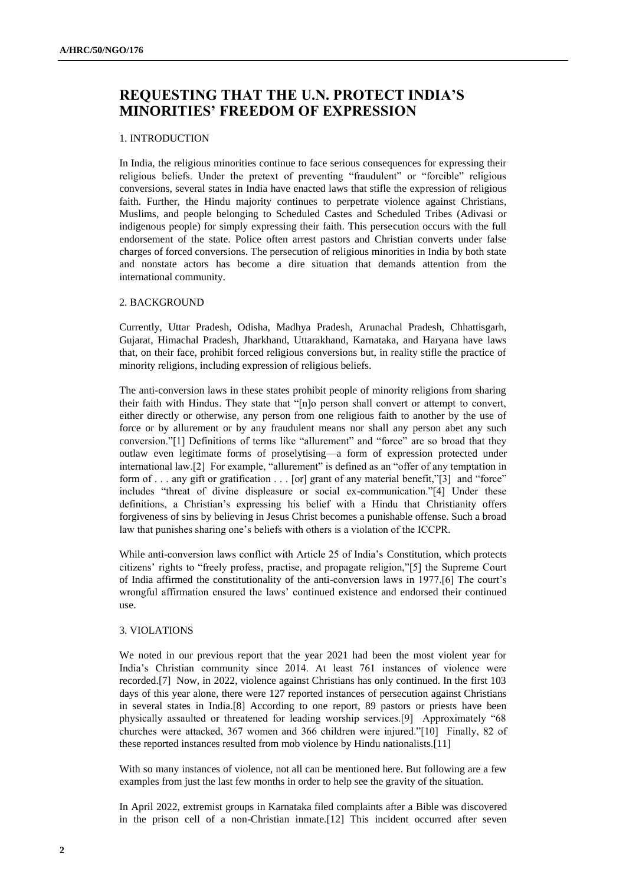# **REQUESTING THAT THE U.N. PROTECT INDIA'S MINORITIES' FREEDOM OF EXPRESSION**

### 1. INTRODUCTION

In India, the religious minorities continue to face serious consequences for expressing their religious beliefs. Under the pretext of preventing "fraudulent" or "forcible" religious conversions, several states in India have enacted laws that stifle the expression of religious faith. Further, the Hindu majority continues to perpetrate violence against Christians, Muslims, and people belonging to Scheduled Castes and Scheduled Tribes (Adivasi or indigenous people) for simply expressing their faith. This persecution occurs with the full endorsement of the state. Police often arrest pastors and Christian converts under false charges of forced conversions. The persecution of religious minorities in India by both state and nonstate actors has become a dire situation that demands attention from the international community.

## 2. BACKGROUND

Currently, Uttar Pradesh, Odisha, Madhya Pradesh, Arunachal Pradesh, Chhattisgarh, Gujarat, Himachal Pradesh, Jharkhand, Uttarakhand, Karnataka, and Haryana have laws that, on their face, prohibit forced religious conversions but, in reality stifle the practice of minority religions, including expression of religious beliefs.

The anti-conversion laws in these states prohibit people of minority religions from sharing their faith with Hindus. They state that "[n]o person shall convert or attempt to convert, either directly or otherwise, any person from one religious faith to another by the use of force or by allurement or by any fraudulent means nor shall any person abet any such conversion."[1] Definitions of terms like "allurement" and "force" are so broad that they outlaw even legitimate forms of proselytising—a form of expression protected under international law.[2] For example, "allurement" is defined as an "offer of any temptation in form of . . . any gift or gratification . . . [or] grant of any material benefit,"[3] and "force" includes "threat of divine displeasure or social ex-communication."[4] Under these definitions, a Christian's expressing his belief with a Hindu that Christianity offers forgiveness of sins by believing in Jesus Christ becomes a punishable offense. Such a broad law that punishes sharing one's beliefs with others is a violation of the ICCPR.

While anti-conversion laws conflict with Article 25 of India's Constitution, which protects citizens' rights to "freely profess, practise, and propagate religion,"[5] the Supreme Court of India affirmed the constitutionality of the anti-conversion laws in 1977.[6] The court's wrongful affirmation ensured the laws' continued existence and endorsed their continued use.

### 3. VIOLATIONS

We noted in our previous report that the year 2021 had been the most violent year for India's Christian community since 2014. At least 761 instances of violence were recorded.[7] Now, in 2022, violence against Christians has only continued. In the first 103 days of this year alone, there were 127 reported instances of persecution against Christians in several states in India.[8] According to one report, 89 pastors or priests have been physically assaulted or threatened for leading worship services.[9] Approximately "68 churches were attacked, 367 women and 366 children were injured."[10] Finally, 82 of these reported instances resulted from mob violence by Hindu nationalists.[11]

With so many instances of violence, not all can be mentioned here. But following are a few examples from just the last few months in order to help see the gravity of the situation.

In April 2022, extremist groups in Karnataka filed complaints after a Bible was discovered in the prison cell of a non-Christian inmate.[12] This incident occurred after seven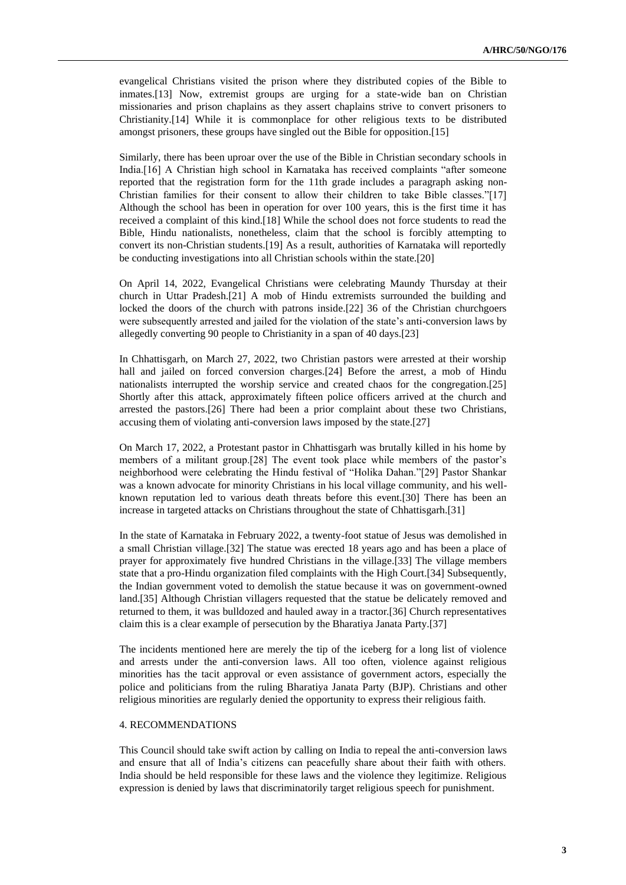evangelical Christians visited the prison where they distributed copies of the Bible to inmates.[13] Now, extremist groups are urging for a state-wide ban on Christian missionaries and prison chaplains as they assert chaplains strive to convert prisoners to Christianity.[14] While it is commonplace for other religious texts to be distributed amongst prisoners, these groups have singled out the Bible for opposition.[15]

Similarly, there has been uproar over the use of the Bible in Christian secondary schools in India.[16] A Christian high school in Karnataka has received complaints "after someone reported that the registration form for the 11th grade includes a paragraph asking non-Christian families for their consent to allow their children to take Bible classes."[17] Although the school has been in operation for over 100 years, this is the first time it has received a complaint of this kind.[18] While the school does not force students to read the Bible, Hindu nationalists, nonetheless, claim that the school is forcibly attempting to convert its non-Christian students.[19] As a result, authorities of Karnataka will reportedly be conducting investigations into all Christian schools within the state.[20]

On April 14, 2022, Evangelical Christians were celebrating Maundy Thursday at their church in Uttar Pradesh.[21] A mob of Hindu extremists surrounded the building and locked the doors of the church with patrons inside.[22] 36 of the Christian churchgoers were subsequently arrested and jailed for the violation of the state's anti-conversion laws by allegedly converting 90 people to Christianity in a span of 40 days.[23]

In Chhattisgarh, on March 27, 2022, two Christian pastors were arrested at their worship hall and jailed on forced conversion charges.[24] Before the arrest, a mob of Hindu nationalists interrupted the worship service and created chaos for the congregation.[25] Shortly after this attack, approximately fifteen police officers arrived at the church and arrested the pastors.[26] There had been a prior complaint about these two Christians, accusing them of violating anti-conversion laws imposed by the state.[27]

On March 17, 2022, a Protestant pastor in Chhattisgarh was brutally killed in his home by members of a militant group.[28] The event took place while members of the pastor's neighborhood were celebrating the Hindu festival of "Holika Dahan."[29] Pastor Shankar was a known advocate for minority Christians in his local village community, and his wellknown reputation led to various death threats before this event.[30] There has been an increase in targeted attacks on Christians throughout the state of Chhattisgarh.[31]

In the state of Karnataka in February 2022, a twenty-foot statue of Jesus was demolished in a small Christian village.[32] The statue was erected 18 years ago and has been a place of prayer for approximately five hundred Christians in the village.[33] The village members state that a pro-Hindu organization filed complaints with the High Court.[34] Subsequently, the Indian government voted to demolish the statue because it was on government-owned land.[35] Although Christian villagers requested that the statue be delicately removed and returned to them, it was bulldozed and hauled away in a tractor.[36] Church representatives claim this is a clear example of persecution by the Bharatiya Janata Party.[37]

The incidents mentioned here are merely the tip of the iceberg for a long list of violence and arrests under the anti-conversion laws. All too often, violence against religious minorities has the tacit approval or even assistance of government actors, especially the police and politicians from the ruling Bharatiya Janata Party (BJP). Christians and other religious minorities are regularly denied the opportunity to express their religious faith.

#### 4. RECOMMENDATIONS

This Council should take swift action by calling on India to repeal the anti-conversion laws and ensure that all of India's citizens can peacefully share about their faith with others. India should be held responsible for these laws and the violence they legitimize. Religious expression is denied by laws that discriminatorily target religious speech for punishment.